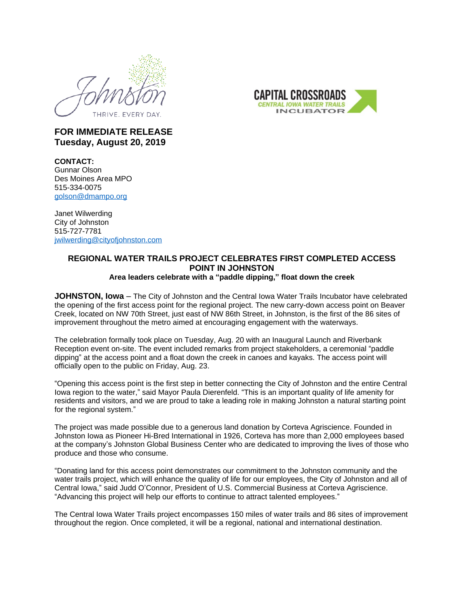



## **FOR IMMEDIATE RELEASE Tuesday, August 20, 2019**

**CONTACT:** Gunnar Olson Des Moines Area MPO 515-334-0075 [golson@dmampo.org](mailto:golson@dmampo.org)

Janet Wilwerding City of Johnston 515-727-7781 [jwilwerding@cityofjohnston.com](mailto:jwilwerding@cityofjohnston.com)

## **REGIONAL WATER TRAILS PROJECT CELEBRATES FIRST COMPLETED ACCESS POINT IN JOHNSTON Area leaders celebrate with a "paddle dipping," float down the creek**

**JOHNSTON, Iowa** – The City of Johnston and the Central Iowa Water Trails Incubator have celebrated the opening of the first access point for the regional project. The new carry-down access point on Beaver Creek, located on NW 70th Street, just east of NW 86th Street, in Johnston, is the first of the 86 sites of improvement throughout the metro aimed at encouraging engagement with the waterways.

The celebration formally took place on Tuesday, Aug. 20 with an Inaugural Launch and Riverbank Reception event on-site. The event included remarks from project stakeholders, a ceremonial "paddle dipping" at the access point and a float down the creek in canoes and kayaks. The access point will officially open to the public on Friday, Aug. 23.

"Opening this access point is the first step in better connecting the City of Johnston and the entire Central Iowa region to the water," said Mayor Paula Dierenfeld. "This is an important quality of life amenity for residents and visitors, and we are proud to take a leading role in making Johnston a natural starting point for the regional system."

The project was made possible due to a generous land donation by Corteva Agriscience. Founded in Johnston Iowa as Pioneer Hi-Bred International in 1926, Corteva has more than 2,000 employees based at the company's Johnston Global Business Center who are dedicated to improving the lives of those who produce and those who consume.

"Donating land for this access point demonstrates our commitment to the Johnston community and the water trails project, which will enhance the quality of life for our employees, the City of Johnston and all of Central Iowa," said Judd O'Connor, President of U.S. Commercial Business at Corteva Agriscience. "Advancing this project will help our efforts to continue to attract talented employees."

The Central Iowa Water Trails project encompasses 150 miles of water trails and 86 sites of improvement throughout the region. Once completed, it will be a regional, national and international destination.